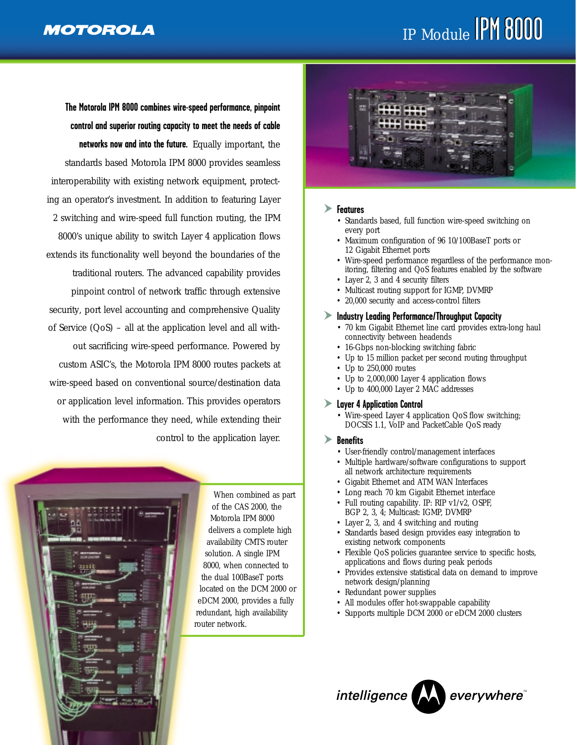# IP Module PM 8000

**The Motorola IPM 8000 combines wire-speed performance, pinpoint control and superior routing capacity to meet the needs of cable networks now and into the future.** Equally important, the standards based Motorola IPM 8000 provides seamless interoperability with existing network equipment, protecting an operator's investment. In addition to featuring Layer 2 switching and wire-speed full function routing, the IPM 8000's unique ability to switch Layer 4 application flows extends its functionality well beyond the boundaries of the traditional routers. The advanced capability provides pinpoint control of network traffic through extensive security, port level accounting and comprehensive Quality of Service (QoS) – all at the application level and all without sacrificing wire-speed performance. Powered by custom ASIC's, the Motorola IPM 8000 routes packets at wire-speed based on conventional source/destination data or application level information. This provides operators with the performance they need, while extending their control to the application layer.



When combined as part of the CAS 2000, the Motorola IPM 8000 delivers a complete high availability CMTS router solution. A single IPM 8000, when connected to the dual 100BaseT ports located on the DCM 2000 or eDCM 2000, provides a fully redundant, high availability router network.



#### **Features**

- Standards based, full function wire-speed switching on every port
- Maximum configuration of 96 10/100BaseT ports or 12 Gigabit Ethernet ports
- Wire-speed performance regardless of the performance monitoring, filtering and QoS features enabled by the software
- Layer 2, 3 and 4 security filters
- Multicast routing support for IGMP, DVMRP
- 20,000 security and access-control filters

#### **Industry Leading Performance/Throughput Capacity**

- 70 km Gigabit Ethernet line card provides extra-long haul connectivity between headends
- 16-Gbps non-blocking switching fabric
- Up to 15 million packet per second routing throughput
- Up to 250,000 routes
- Up to 2,000,000 Layer 4 application flows
- Up to 400,000 Layer 2 MAC addresses

#### **Layer 4 Application Control**

- Wire-speed Layer 4 application QoS flow switching; DOCSIS 1.1, VoIP and PacketCable QoS ready
- **Benefits**
	- User-friendly control/management interfaces
	- Multiple hardware/software configurations to support all network architecture requirements
	- Gigabit Ethernet and ATM WAN Interfaces
	- Long reach 70 km Gigabit Ethernet interface
	- Full routing capability. IP: RIP v1/v2, OSPF, BGP 2, 3, 4; Multicast: IGMP, DVMRP
	- Layer 2, 3, and 4 switching and routing
	- Standards based design provides easy integration to existing network components
	- Flexible QoS policies guarantee service to specific hosts, applications and flows during peak periods
	- Provides extensive statistical data on demand to improve network design/planning
	- Redundant power supplies
	- All modules offer hot-swappable capability
	- Supports multiple DCM 2000 or eDCM 2000 clusters